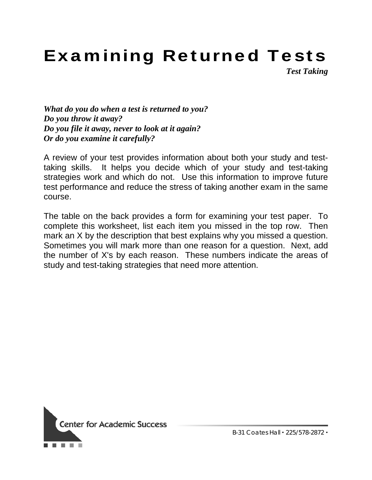## Examining Returned Tests

*Test Taking* 

*What do you do when a test is returned to you? Do you throw it away? Do you file it away, never to look at it again? Or do you examine it carefully?*

A review of your test provides information about both your study and testtaking skills. It helps you decide which of your study and test-taking strategies work and which do not. Use this information to improve future test performance and reduce the stress of taking another exam in the same course.

The table on the back provides a form for examining your test paper. To complete this worksheet, list each item you missed in the top row. Then mark an X by the description that best explains why you missed a question. Sometimes you will mark more than one reason for a question. Next, add the number of X's by each reason. These numbers indicate the areas of study and test-taking strategies that need more attention.